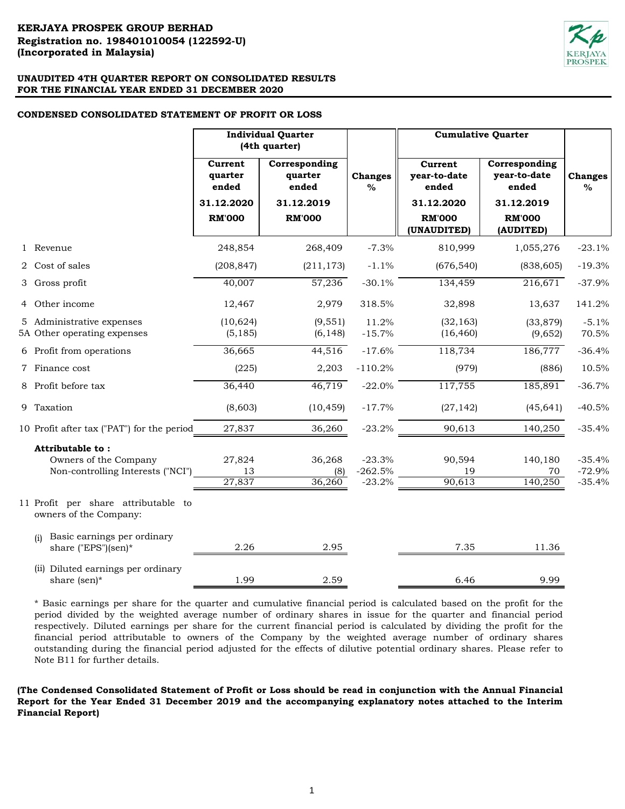## **CONDENSED CONSOLIDATED STATEMENT OF PROFIT OR LOSS**

|                                                                                | <b>Individual Quarter</b><br>(4th quarter)                 |                                                                  |                                   | <b>Cumulative Quarter</b>                                                      |                                                                                    |                                  |
|--------------------------------------------------------------------------------|------------------------------------------------------------|------------------------------------------------------------------|-----------------------------------|--------------------------------------------------------------------------------|------------------------------------------------------------------------------------|----------------------------------|
|                                                                                | Current<br>quarter<br>ended<br>31.12.2020<br><b>RM'000</b> | Corresponding<br>quarter<br>ended<br>31.12.2019<br><b>RM'000</b> | <b>Changes</b><br>$\frac{6}{6}$   | Current<br>year-to-date<br>ended<br>31.12.2020<br><b>RM'000</b><br>(UNAUDITED) | Corresponding<br>year-to-date<br>ended<br>31.12.2019<br><b>RM'000</b><br>(AUDITED) | <b>Changes</b><br>$\%$           |
| 1 Revenue                                                                      | 248,854                                                    | 268,409                                                          | $-7.3%$                           | 810,999                                                                        | 1,055,276                                                                          | $-23.1%$                         |
| 2 Cost of sales                                                                | (208, 847)                                                 | (211, 173)                                                       | $-1.1%$                           | (676, 540)                                                                     | (838, 605)                                                                         | $-19.3%$                         |
| 3 Gross profit                                                                 | 40,007                                                     | 57,236                                                           | $-30.1%$                          | 134,459                                                                        | 216,671                                                                            | $-37.9%$                         |
| 4 Other income                                                                 | 12,467                                                     | 2,979                                                            | 318.5%                            | 32,898                                                                         | 13,637                                                                             | 141.2%                           |
| 5 Administrative expenses<br>5A Other operating expenses                       | (10, 624)<br>(5, 185)                                      | (9, 551)<br>(6, 148)                                             | 11.2%<br>$-15.7%$                 | (32, 163)<br>(16, 460)                                                         | (33, 879)<br>(9,652)                                                               | $-5.1%$<br>70.5%                 |
| 6 Profit from operations                                                       | 36,665                                                     | 44,516                                                           | $-17.6%$                          | 118,734                                                                        | 186,777                                                                            | $-36.4%$                         |
| 7 Finance cost                                                                 | (225)                                                      | 2,203                                                            | $-110.2%$                         | (979)                                                                          | (886)                                                                              | 10.5%                            |
| 8 Profit before tax                                                            | 36,440                                                     | 46,719                                                           | $-22.0%$                          | 117,755                                                                        | 185,891                                                                            | $-36.7%$                         |
| 9 Taxation                                                                     | (8,603)                                                    | (10, 459)                                                        | $-17.7%$                          | (27, 142)                                                                      | (45, 641)                                                                          | $-40.5%$                         |
| 10 Profit after tax ("PAT") for the period                                     | 27,837                                                     | 36,260                                                           | $-23.2%$                          | 90,613                                                                         | 140,250                                                                            | $-35.4%$                         |
| Attributable to:<br>Owners of the Company<br>Non-controlling Interests ("NCI") | 27,824<br>13<br>27,837                                     | 36,268<br>(8)<br>36,260                                          | $-23.3%$<br>$-262.5%$<br>$-23.2%$ | 90,594<br>19<br>90,613                                                         | 140,180<br>70<br>140,250                                                           | $-35.4%$<br>$-72.9%$<br>$-35.4%$ |
| 11 Profit per share attributable to<br>owners of the Company:                  |                                                            |                                                                  |                                   |                                                                                |                                                                                    |                                  |
| Basic earnings per ordinary<br>(i)<br>share ("EPS")(sen)*                      | 2.26                                                       | 2.95                                                             |                                   | 7.35                                                                           | 11.36                                                                              |                                  |
| (ii) Diluted earnings per ordinary<br>share (sen)*                             | 1.99                                                       | 2.59                                                             |                                   | 6.46                                                                           | 9.99                                                                               |                                  |

\* Basic earnings per share for the quarter and cumulative financial period is calculated based on the profit for the period divided by the weighted average number of ordinary shares in issue for the quarter and financial period respectively. Diluted earnings per share for the current financial period is calculated by dividing the profit for the financial period attributable to owners of the Company by the weighted average number of ordinary shares outstanding during the financial period adjusted for the effects of dilutive potential ordinary shares. Please refer to Note B11 for further details.

(The Condensed Consolidated Statement of Profit or Loss should be read in conjunction with the Annual Financial **Report for the Year Ended 31 December 2019 and the accompanying explanatory notes attached to the Interim Financial Report)**

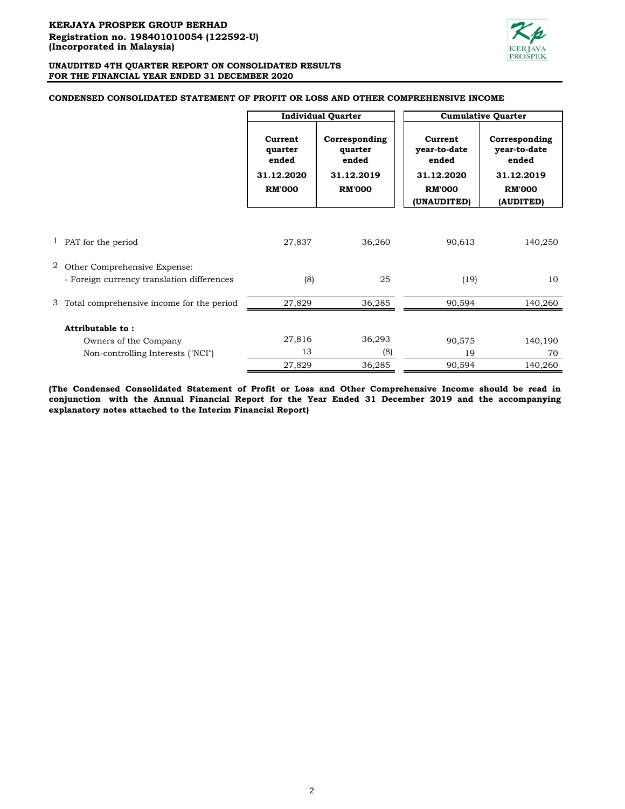

## **CONDENSED CONSOLIDATED STATEMENT OF PROFIT OR LOSS AND OTHER COMPREHENSIVE INCOME**

|   |                                                                            |                                                            | <b>Individual Quarter</b>                                        |                                                                                | <b>Cumulative Quarter</b>                                                          |  |
|---|----------------------------------------------------------------------------|------------------------------------------------------------|------------------------------------------------------------------|--------------------------------------------------------------------------------|------------------------------------------------------------------------------------|--|
|   |                                                                            | Current<br>quarter<br>ended<br>31.12.2020<br><b>RM'000</b> | Corresponding<br>quarter<br>ended<br>31.12.2019<br><b>RM'000</b> | Current<br>year-to-date<br>ended<br>31.12.2020<br><b>RM'000</b><br>(UNAUDITED) | Corresponding<br>year-to-date<br>ended<br>31.12.2019<br><b>RM'000</b><br>(AUDITED) |  |
|   |                                                                            |                                                            |                                                                  |                                                                                |                                                                                    |  |
|   | <sup>1</sup> PAT for the period                                            | 27,837                                                     | 36,260                                                           | 90,613                                                                         | 140,250                                                                            |  |
| 2 | Other Comprehensive Expense:<br>- Foreign currency translation differences | (8)                                                        | 25                                                               | (19)                                                                           | 10                                                                                 |  |
|   | 3 Total comprehensive income for the period                                | 27,829                                                     | 36,285                                                           | 90,594                                                                         | 140,260                                                                            |  |
|   | Attributable to:                                                           |                                                            |                                                                  |                                                                                |                                                                                    |  |
|   | Owners of the Company                                                      | 27,816                                                     | 36,293                                                           | 90,575                                                                         | 140,190                                                                            |  |
|   | Non-controlling Interests ("NCI")                                          | 13                                                         | (8)                                                              | 19                                                                             | 70                                                                                 |  |
|   |                                                                            | 27,829                                                     | 36,285                                                           | 90,594                                                                         | 140,260                                                                            |  |

**(The Condensed Consolidated Statement of Profit or Loss and Other Comprehensive Income should be read in conjunction with the Annual Financial Report for the Year Ended 31 December 2019 and the accompanying explanatory notes attached to the Interim Financial Report)**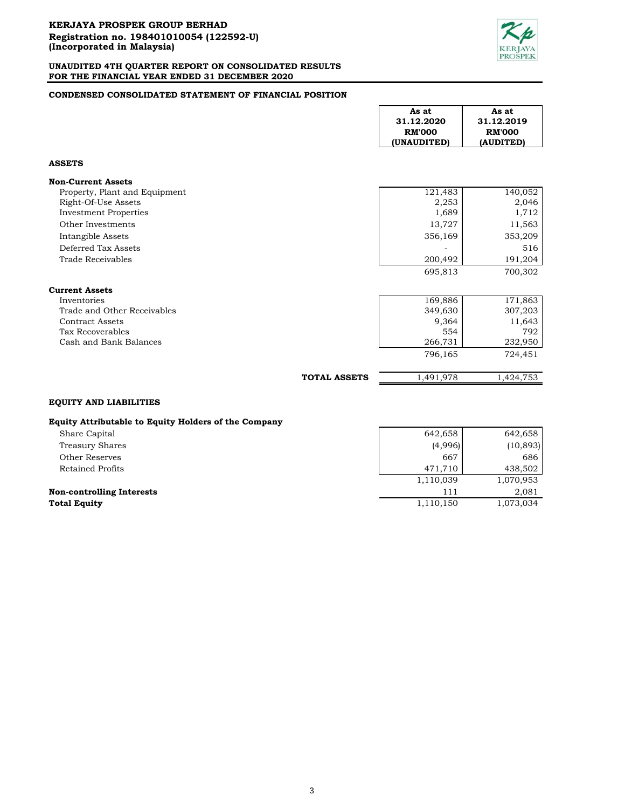

## **CONDENSED CONSOLIDATED STATEMENT OF FINANCIAL POSITION**

|                                                                                                                    |                     | As at<br>31.12.2020<br><b>RM'000</b><br>(UNAUDITED)      | As at<br>31.12.2019<br><b>RM'000</b><br>(AUDITED)         |
|--------------------------------------------------------------------------------------------------------------------|---------------------|----------------------------------------------------------|-----------------------------------------------------------|
| <b>ASSETS</b>                                                                                                      |                     |                                                          |                                                           |
| <b>Non-Current Assets</b>                                                                                          |                     |                                                          |                                                           |
| Property, Plant and Equipment<br>Right-Of-Use Assets<br><b>Investment Properties</b>                               |                     | 121,483<br>2,253<br>1,689                                | 140,052<br>2,046<br>1,712                                 |
| Other Investments<br>Intangible Assets                                                                             |                     | 13,727<br>356,169                                        | 11,563<br>353,209                                         |
| Deferred Tax Assets<br>Trade Receivables                                                                           |                     | 200,492                                                  | 516<br>191,204                                            |
|                                                                                                                    |                     | 695,813                                                  | 700,302                                                   |
| <b>Current Assets</b>                                                                                              |                     |                                                          |                                                           |
| Inventories<br>Trade and Other Receivables<br><b>Contract Assets</b><br>Tax Recoverables<br>Cash and Bank Balances |                     | 169,886<br>349,630<br>9,364<br>554<br>266,731<br>796,165 | 171,863<br>307,203<br>11,643<br>792<br>232,950<br>724,451 |
|                                                                                                                    | <b>TOTAL ASSETS</b> | 1,491,978                                                | 1,424,753                                                 |
| <b>EQUITY AND LIABILITIES</b>                                                                                      |                     |                                                          |                                                           |

## **Equity Attributable to Equity Holders of the Company**

| Share Capital                    | 642,658   | 642,658   |
|----------------------------------|-----------|-----------|
| Treasury Shares                  | (4,996)   | (10, 893) |
| Other Reserves                   | 667       | 686       |
| Retained Profits                 | 471.710   | 438,502   |
|                                  | 1,110,039 | 1,070,953 |
| <b>Non-controlling Interests</b> | 111       | 2.081     |
| <b>Total Equity</b>              | 1,110,150 | 1,073,034 |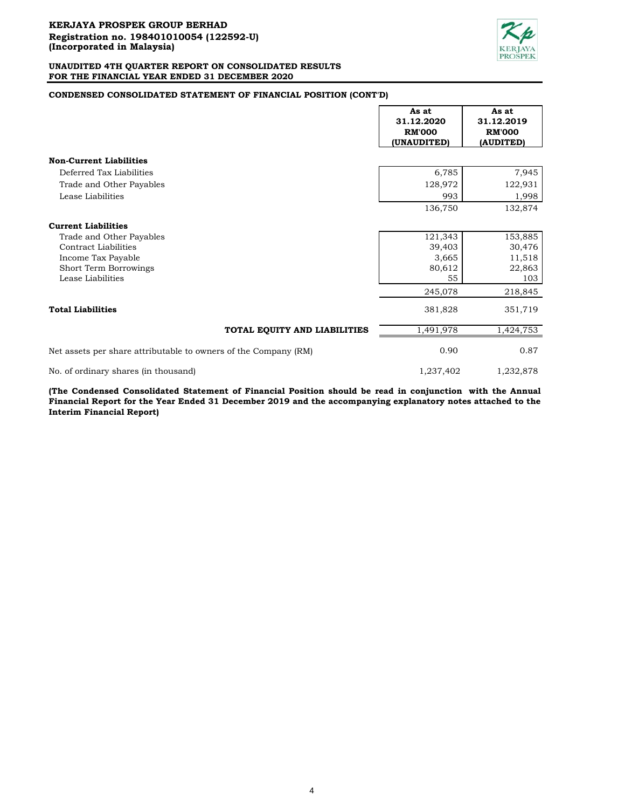

## **CONDENSED CONSOLIDATED STATEMENT OF FINANCIAL POSITION (CONT'D)**

|                                                                 | As at<br>31.12.2020<br><b>RM'000</b><br>(UNAUDITED) | As at<br>31.12.2019<br><b>RM'000</b><br>(AUDITED) |
|-----------------------------------------------------------------|-----------------------------------------------------|---------------------------------------------------|
| <b>Non-Current Liabilities</b>                                  |                                                     |                                                   |
| Deferred Tax Liabilities                                        | 6,785                                               | 7,945                                             |
| Trade and Other Payables                                        | 128,972                                             | 122,931                                           |
| Lease Liabilities                                               | 993                                                 | 1,998                                             |
|                                                                 | 136,750                                             | 132,874                                           |
| <b>Current Liabilities</b>                                      |                                                     |                                                   |
| Trade and Other Payables                                        | 121,343                                             | 153,885                                           |
| Contract Liabilities                                            | 39,403                                              | 30,476                                            |
| Income Tax Payable                                              | 3,665                                               | 11,518                                            |
| Short Term Borrowings                                           | 80,612                                              | 22,863                                            |
| Lease Liabilities                                               | 55                                                  | 103                                               |
|                                                                 | 245,078                                             | 218,845                                           |
| <b>Total Liabilities</b>                                        | 381,828                                             | 351,719                                           |
| TOTAL EQUITY AND LIABILITIES                                    | 1,491,978                                           | 1,424,753                                         |
| Net assets per share attributable to owners of the Company (RM) | 0.90                                                | 0.87                                              |
| No. of ordinary shares (in thousand)                            | 1,237,402                                           | 1,232,878                                         |

**(The Condensed Consolidated Statement of Financial Position should be read in conjunction with the Annual** Financial Report for the Year Ended 31 December 2019 and the accompanying explanatory notes attached to the **Interim Financial Report)**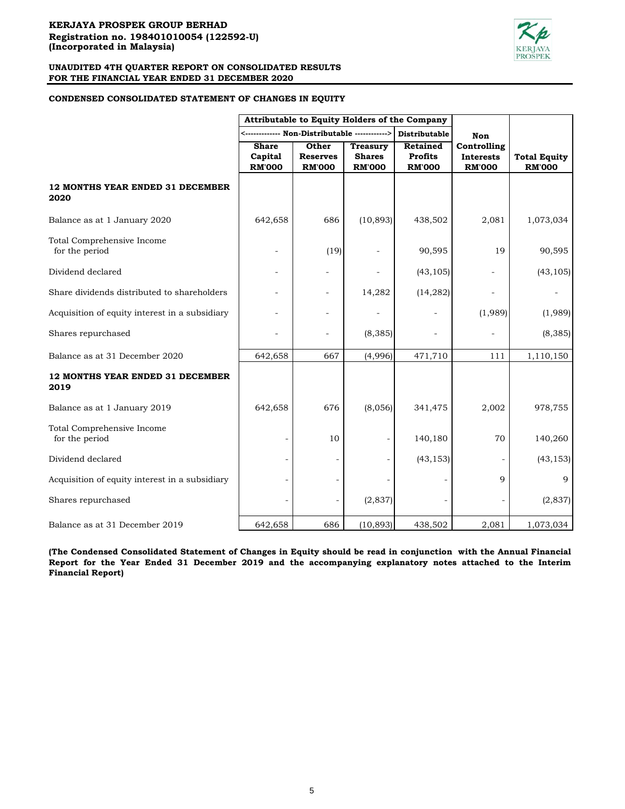

## **CONDENSED CONSOLIDATED STATEMENT OF CHANGES IN EQUITY**

|                                                | Attributable to Equity Holders of the Company |                 |                 |                 |                          |                     |
|------------------------------------------------|-----------------------------------------------|-----------------|-----------------|-----------------|--------------------------|---------------------|
|                                                |                                               |                 |                 | Distributable   | Non                      |                     |
|                                                | <b>Share</b>                                  | Other           | <b>Treasury</b> | <b>Retained</b> | Controlling              |                     |
|                                                | Capital                                       | <b>Reserves</b> | <b>Shares</b>   | <b>Profits</b>  | <b>Interests</b>         | <b>Total Equity</b> |
|                                                | <b>RM'000</b>                                 | <b>RM'000</b>   | <b>RM'000</b>   | <b>RM'000</b>   | <b>RM'000</b>            | <b>RM'000</b>       |
| 12 MONTHS YEAR ENDED 31 DECEMBER<br>2020       |                                               |                 |                 |                 |                          |                     |
| Balance as at 1 January 2020                   | 642,658                                       | 686             | (10, 893)       | 438,502         | 2,081                    | 1,073,034           |
| Total Comprehensive Income<br>for the period   |                                               | (19)            |                 | 90,595          | 19                       | 90,595              |
| Dividend declared                              |                                               |                 |                 | (43, 105)       | $\overline{\phantom{0}}$ | (43, 105)           |
| Share dividends distributed to shareholders    |                                               |                 | 14,282          | (14, 282)       |                          |                     |
| Acquisition of equity interest in a subsidiary |                                               |                 |                 |                 | (1,989)                  | (1,989)             |
| Shares repurchased                             |                                               |                 | (8, 385)        |                 |                          | (8, 385)            |
| Balance as at 31 December 2020                 | 642,658                                       | 667             | (4,996)         | 471,710         | 111                      | 1,110,150           |
| 12 MONTHS YEAR ENDED 31 DECEMBER<br>2019       |                                               |                 |                 |                 |                          |                     |
| Balance as at 1 January 2019                   | 642,658                                       | 676             | (8,056)         | 341,475         | 2,002                    | 978,755             |
| Total Comprehensive Income<br>for the period   |                                               | 10              |                 | 140,180         | 70                       | 140,260             |
| Dividend declared                              |                                               |                 |                 | (43, 153)       |                          | (43, 153)           |
| Acquisition of equity interest in a subsidiary |                                               |                 |                 |                 | 9                        | 9                   |
| Shares repurchased                             |                                               |                 | (2, 837)        |                 |                          | (2,837)             |
| Balance as at 31 December 2019                 | 642,658                                       | 686             | (10, 893)       | 438,502         | 2,081                    | 1,073,034           |

(The Condensed Consolidated Statement of Changes in Equity should be read in conjunction with the Annual Financial **Report for the Year Ended 31 December 2019 and the accompanying explanatory notes attached to the Interim Financial Report)**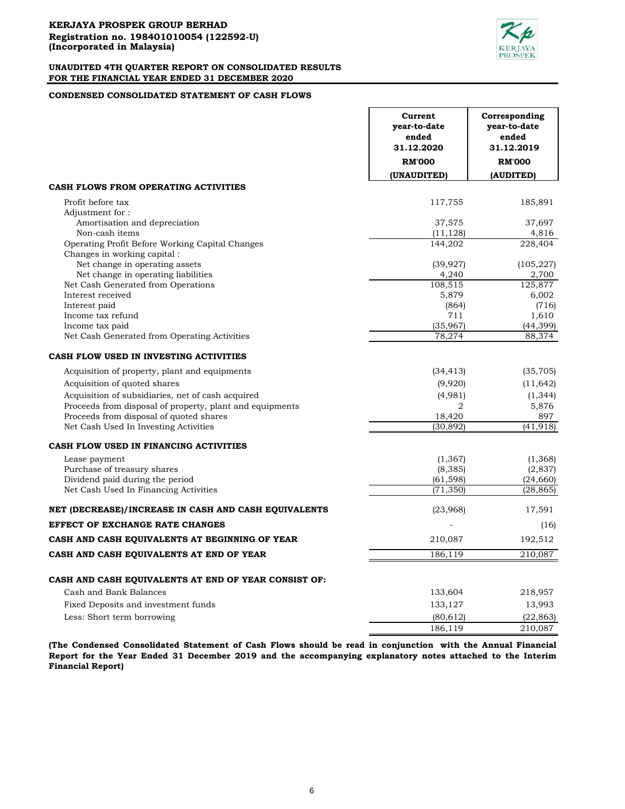

## **CONDENSED CONSOLIDATED STATEMENT OF CASH FLOWS**

|                                                          | Current<br>year-to-date<br>ended<br>31.12.2020<br><b>RM'000</b> | Corresponding<br>year-to-date<br>ended<br>31.12.2019<br><b>RM'000</b> |
|----------------------------------------------------------|-----------------------------------------------------------------|-----------------------------------------------------------------------|
|                                                          | (UNAUDITED)                                                     | (AUDITED)                                                             |
| CASH FLOWS FROM OPERATING ACTIVITIES                     |                                                                 |                                                                       |
| Profit before tax                                        | 117,755                                                         | 185,891                                                               |
| Adjustment for:                                          |                                                                 |                                                                       |
| Amortisation and depreciation                            | 37,575                                                          | 37,697                                                                |
| Non-cash items                                           | (11, 128)                                                       | 4,816                                                                 |
| Operating Profit Before Working Capital Changes          | 144,202                                                         | 228,404                                                               |
| Changes in working capital:                              |                                                                 |                                                                       |
| Net change in operating assets                           | (39, 927)                                                       | (105, 227)                                                            |
| Net change in operating liabilities                      | 4,240                                                           | 2.700                                                                 |
| Net Cash Generated from Operations                       | 108,515                                                         | 125,877                                                               |
| Interest received                                        | 5,879                                                           | 6,002                                                                 |
| Interest paid<br>Income tax refund                       | (864)<br>711                                                    | (716)<br>1,610                                                        |
| Income tax paid                                          | (35,967)                                                        | (44, 399)                                                             |
| Net Cash Generated from Operating Activities             | 78,274                                                          | 88,374                                                                |
|                                                          |                                                                 |                                                                       |
| CASH FLOW USED IN INVESTING ACTIVITIES                   |                                                                 |                                                                       |
| Acquisition of property, plant and equipments            | (34, 413)                                                       | (35, 705)                                                             |
| Acquisition of quoted shares                             | (9,920)                                                         | (11, 642)                                                             |
| Acquisition of subsidiaries, net of cash acquired        | (4,981)                                                         | (1, 344)                                                              |
| Proceeds from disposal of property, plant and equipments | 2                                                               | 5,876                                                                 |
| Proceeds from disposal of quoted shares                  | 18,420                                                          | 897                                                                   |
| Net Cash Used In Investing Activities                    | (30, 892)                                                       | (41, 918)                                                             |
| CASH FLOW USED IN FINANCING ACTIVITIES                   |                                                                 |                                                                       |
| Lease payment                                            | (1,367)                                                         | (1,368)                                                               |
| Purchase of treasury shares                              | (8, 385)                                                        | (2, 837)                                                              |
| Dividend paid during the period                          | (61, 598)                                                       | (24, 660)                                                             |
| Net Cash Used In Financing Activities                    | (71, 350)                                                       | (28, 865)                                                             |
| NET (DECREASE)/INCREASE IN CASH AND CASH EQUIVALENTS     | (23,968)                                                        | 17,591                                                                |
| EFFECT OF EXCHANGE RATE CHANGES                          |                                                                 | (16)                                                                  |
| CASH AND CASH EQUIVALENTS AT BEGINNING OF YEAR           | 210,087                                                         | 192,512                                                               |
| CASH AND CASH EQUIVALENTS AT END OF YEAR                 | 186,119                                                         | 210,087                                                               |
|                                                          |                                                                 |                                                                       |
| CASH AND CASH EQUIVALENTS AT END OF YEAR CONSIST OF:     |                                                                 |                                                                       |
| Cash and Bank Balances                                   | 133,604                                                         | 218,957                                                               |
| Fixed Deposits and investment funds                      | 133,127                                                         | 13,993                                                                |
| Less: Short term borrowing                               | (80, 612)                                                       | (22, 863)                                                             |
|                                                          | 186,119                                                         | 210,087                                                               |

**(The Condensed Consolidated Statement of Cash Flows should be read in conjunction with the Annual Financial Report for the Year Ended 31 December 2019 and the accompanying explanatory notes attached to the Interim Financial Report)**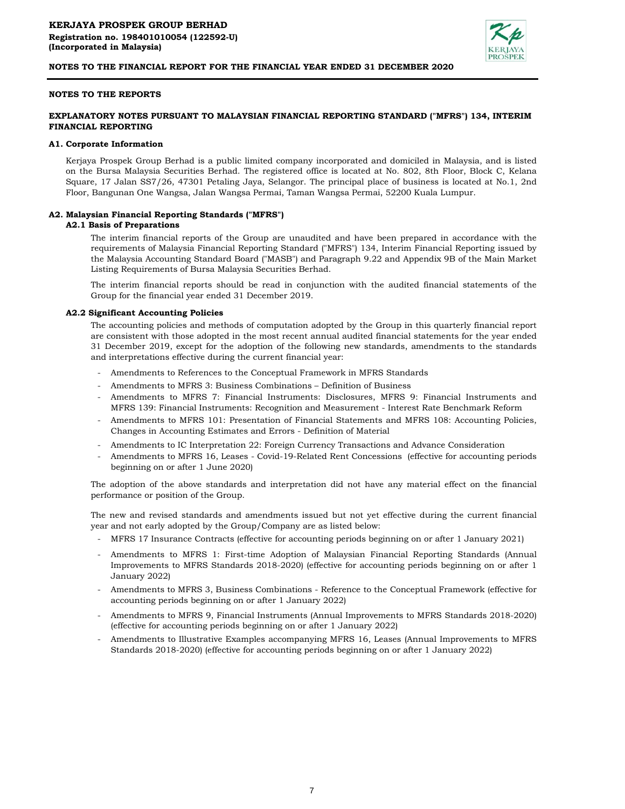

## **NOTES TO THE REPORTS**

## **EXPLANATORY NOTES PURSUANT TO MALAYSIAN FINANCIAL REPORTING STANDARD ("MFRS") 134, INTERIM FINANCIAL REPORTING**

#### **A1. Corporate Information**

Kerjaya Prospek Group Berhad is a public limited company incorporated and domiciled in Malaysia, and is listed on the Bursa Malaysia Securities Berhad. The registered office is located at No. 802, 8th Floor, Block C, Kelana Square, 17 Jalan SS7/26, 47301 Petaling Jaya, Selangor. The principal place of business is located at No.1, 2nd Floor, Bangunan One Wangsa, Jalan Wangsa Permai, Taman Wangsa Permai, 52200 Kuala Lumpur.

## **A2. Malaysian Financial Reporting Standards ("MFRS")**

#### **A2.1 Basis of Preparations**

The interim financial reports of the Group are unaudited and have been prepared in accordance with the requirements of Malaysia Financial Reporting Standard ("MFRS") 134, Interim Financial Reporting issued by the Malaysia Accounting Standard Board ("MASB") and Paragraph 9.22 and Appendix 9B of the Main Market Listing Requirements of Bursa Malaysia Securities Berhad.

The interim financial reports should be read in conjunction with the audited financial statements of the Group for the financial year ended 31 December 2019.

## **A2.2 Significant Accounting Policies**

The accounting policies and methods of computation adopted by the Group in this quarterly financial report are consistent with those adopted in the most recent annual audited financial statements for the year ended 31 December 2019, except for the adoption of the following new standards, amendments to the standards and interpretations effective during the current financial year:

- Amendments to References to the Conceptual Framework in MFRS Standards
- Amendments to MFRS 3: Business Combinations Definition of Business
- Amendments to MFRS 7: Financial Instruments: Disclosures, MFRS 9: Financial Instruments and MFRS 139: Financial Instruments: Recognition and Measurement - Interest Rate Benchmark Reform
- Amendments to MFRS 101: Presentation of Financial Statements and MFRS 108: Accounting Policies, Changes in Accounting Estimates and Errors - Definition of Material
- Amendments to IC Interpretation 22: Foreign Currency Transactions and Advance Consideration
- Amendments to MFRS 16, Leases - Covid-19-Related Rent Concessions (effective for accounting periods beginning on or after 1 June 2020)

The adoption of the above standards and interpretation did not have any material effect on the financial performance or position of the Group.

The new and revised standards and amendments issued but not yet effective during the current financial year and not early adopted by the Group/Company are as listed below:

- MFRS 17 Insurance Contracts (effective for accounting periods beginning on or after 1 January 2021)
- Amendments to MFRS 1: First-time Adoption of Malaysian Financial Reporting Standards (Annual Improvements to MFRS Standards 2018-2020) (effective for accounting periods beginning on or after 1 January 2022)
- Amendments to MFRS 3, Business Combinations - Reference to the Conceptual Framework (effective for accounting periods beginning on or after 1 January 2022)
- Amendments to MFRS 9, Financial Instruments (Annual Improvements to MFRS Standards 2018-2020) (effective for accounting periods beginning on or after 1 January 2022)
- Amendments to Illustrative Examples accompanying MFRS 16, Leases (Annual Improvements to MFRS Standards 2018-2020) (effective for accounting periods beginning on or after 1 January 2022)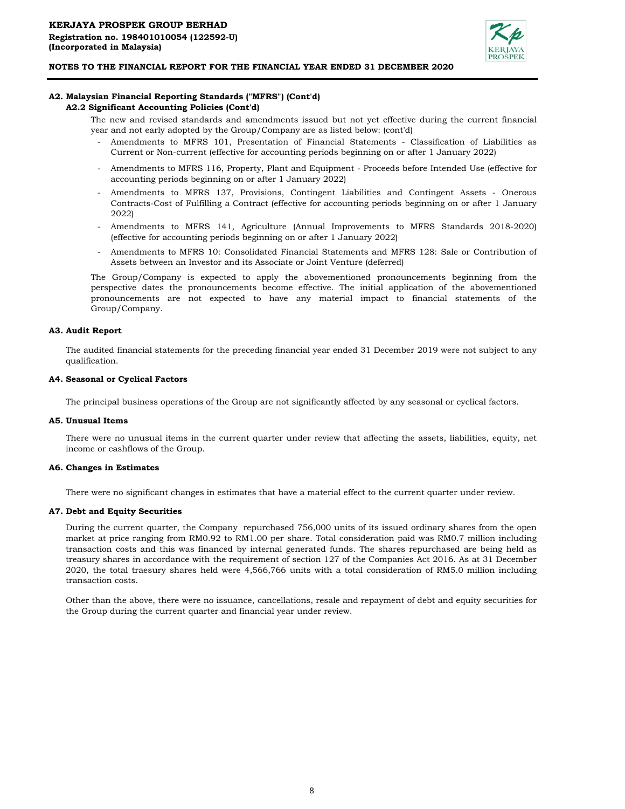

## **A2. Malaysian Financial Reporting Standards ("MFRS") (Cont'd)**

## **A2.2 Significant Accounting Policies (Cont'd)**

The new and revised standards and amendments issued but not yet effective during the current financial year and not early adopted by the Group/Company are as listed below: (cont'd)

- Amendments to MFRS 101, Presentation of Financial Statements - Classification of Liabilities as Current or Non-current (effective for accounting periods beginning on or after 1 January 2022)
- Amendments to MFRS 116, Property, Plant and Equipment - Proceeds before Intended Use (effective for accounting periods beginning on or after 1 January 2022)
- Amendments to MFRS 137, Provisions, Contingent Liabilities and Contingent Assets - Onerous Contracts-Cost of Fulfilling a Contract (effective for accounting periods beginning on or after 1 January 2022)
- Amendments to MFRS 141, Agriculture (Annual Improvements to MFRS Standards 2018-2020) (effective for accounting periods beginning on or after 1 January 2022)
- Amendments to MFRS 10: Consolidated Financial Statements and MFRS 128: Sale or Contribution of Assets between an Investor and its Associate or Joint Venture (deferred)

The Group/Company is expected to apply the abovementioned pronouncements beginning from the perspective dates the pronouncements become effective. The initial application of the abovementioned pronouncements are not expected to have any material impact to financial statements of the Group/Company.

#### **A3. Audit Report**

The audited financial statements for the preceding financial year ended 31 December 2019 were not subject to any qualification.

#### **A4. Seasonal or Cyclical Factors**

The principal business operations of the Group are not significantly affected by any seasonal or cyclical factors.

#### **A5. Unusual Items**

There were no unusual items in the current quarter under review that affecting the assets, liabilities, equity, net income or cashflows of the Group.

#### **A6. Changes in Estimates**

There were no significant changes in estimates that have a material effect to the current quarter under review.

## **A7. Debt and Equity Securities**

During the current quarter, the Company repurchased 756,000 units of its issued ordinary shares from the open market at price ranging from RM0.92 to RM1.00 per share. Total consideration paid was RM0.7 million including transaction costs and this was financed by internal generated funds. The shares repurchased are being held as treasury shares in accordance with the requirement of section 127 of the Companies Act 2016. As at 31 December 2020, the total traesury shares held were 4,566,766 units with a total consideration of RM5.0 million including transaction costs.

Other than the above, there were no issuance, cancellations, resale and repayment of debt and equity securities for the Group during the current quarter and financial year under review.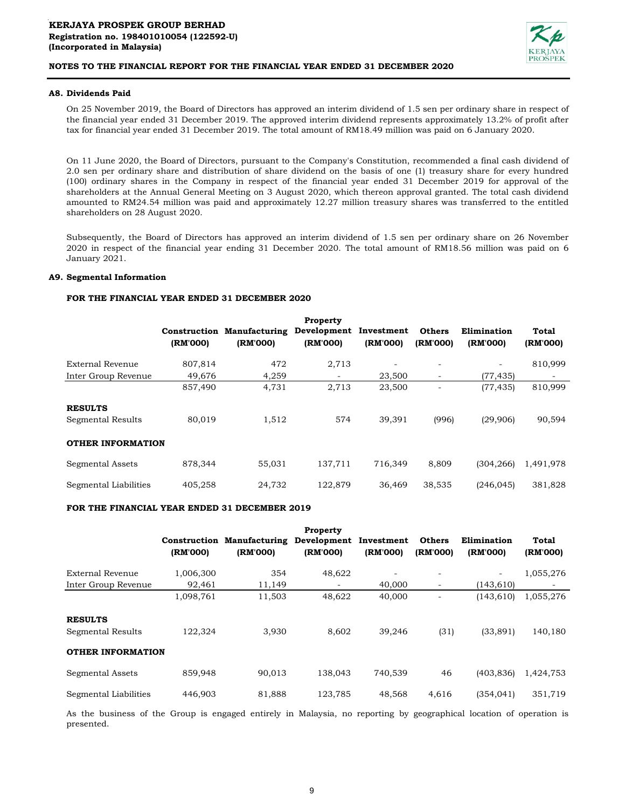

## **A8. Dividends Paid**

On 25 November 2019, the Board of Directors has approved an interim dividend of 1.5 sen per ordinary share in respect of the financial year ended 31 December 2019. The approved interim dividend represents approximately 13.2% of profit after tax for financial year ended 31 December 2019. The total amount of RM18.49 million was paid on 6 January 2020.

On 11 June 2020, the Board of Directors, pursuant to the Company's Constitution, recommended a final cash dividend of 2.0 sen per ordinary share and distribution of share dividend on the basis of one (1) treasury share for every hundred (100) ordinary shares in the Company in respect of the financial year ended 31 December 2019 for approval of the shareholders at the Annual General Meeting on 3 August 2020, which thereon approval granted. The total cash dividend amounted to RM24.54 million was paid and approximately 12.27 million treasury shares was transferred to the entitled shareholders on 28 August 2020.

Subsequently, the Board of Directors has approved an interim dividend of 1.5 sen per ordinary share on 26 November 2020 in respect of the financial year ending 31 December 2020. The total amount of RM18.56 million was paid on 6 January 2021.

#### **A9. Segmental Information**

## **FOR THE FINANCIAL YEAR ENDED 31 DECEMBER 2020**

|                                     | (RM'000) | <b>Construction Manufacturing</b><br>(RM'000) | <b>Property</b><br>Development<br>(RM'000) | Investment<br>(RM'000)   | <b>Others</b><br>(RM'000) | Elimination<br>(RM'000)  | Total<br>(RM'000) |
|-------------------------------------|----------|-----------------------------------------------|--------------------------------------------|--------------------------|---------------------------|--------------------------|-------------------|
| External Revenue                    | 807,814  | 472                                           | 2,713                                      | $\overline{\phantom{a}}$ | $\overline{\phantom{0}}$  | $\overline{\phantom{a}}$ | 810,999           |
| Inter Group Revenue                 | 49,676   | 4,259                                         | $\overline{\phantom{a}}$                   | 23,500                   | $\overline{\phantom{a}}$  | (77, 435)                |                   |
|                                     | 857,490  | 4,731                                         | 2,713                                      | 23,500                   | $\overline{\phantom{0}}$  | (77, 435)                | 810,999           |
| <b>RESULTS</b><br>Segmental Results | 80,019   | 1,512                                         | 574                                        | 39,391                   | (996)                     | (29,906)                 | 90,594            |
| <b>OTHER INFORMATION</b>            |          |                                               |                                            |                          |                           |                          |                   |
| Segmental Assets                    | 878,344  | 55,031                                        | 137,711                                    | 716,349                  | 8,809                     | (304, 266)               | 1,491,978         |
| Segmental Liabilities               | 405,258  | 24,732                                        | 122,879                                    | 36,469                   | 38,535                    | (246, 045)               | 381,828           |

## **FOR THE FINANCIAL YEAR ENDED 31 DECEMBER 2019**

|                                     | Construction<br>(RM'000) | <b>Manufacturing</b><br>(RM'000) | <b>Property</b><br>Development<br>(RM'000) | Investment<br>(RM'000)   | <b>Others</b><br>(RM'000) | Elimination<br>(RM'000)  | Total<br>(RM'000) |
|-------------------------------------|--------------------------|----------------------------------|--------------------------------------------|--------------------------|---------------------------|--------------------------|-------------------|
| External Revenue                    | 1,006,300                | 354                              | 48,622                                     | $\overline{\phantom{a}}$ | $\overline{\phantom{0}}$  | $\overline{\phantom{a}}$ | 1,055,276         |
| Inter Group Revenue                 | 92,461                   | 11,149                           | -                                          | 40,000                   | $\overline{\phantom{a}}$  | (143, 610)               |                   |
|                                     | 1,098,761                | 11,503                           | 48,622                                     | 40,000                   | $\overline{\phantom{0}}$  | (143, 610)               | 1,055,276         |
| <b>RESULTS</b><br>Segmental Results | 122.324                  | 3,930                            | 8,602                                      | 39,246                   | (31)                      | (33, 891)                | 140,180           |
| <b>OTHER INFORMATION</b>            |                          |                                  |                                            |                          |                           |                          |                   |
| Segmental Assets                    | 859,948                  | 90,013                           | 138,043                                    | 740,539                  | 46                        | (403, 836)               | 1,424,753         |
| Segmental Liabilities               | 446,903                  | 81,888                           | 123,785                                    | 48,568                   | 4,616                     | (354, 041)               | 351,719           |

As the business of the Group is engaged entirely in Malaysia, no reporting by geographical location of operation is presented.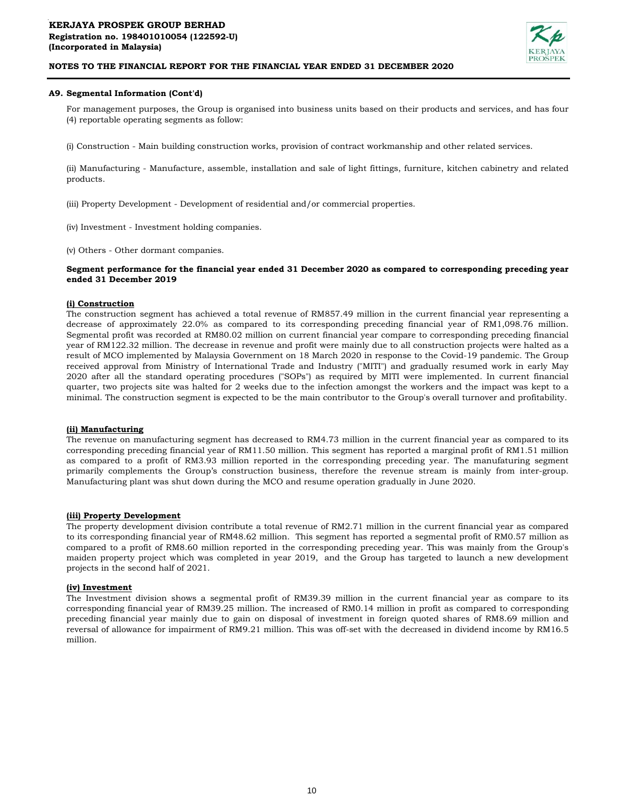

## **A9. Segmental Information (Cont'd)**

For management purposes, the Group is organised into business units based on their products and services, and has four (4) reportable operating segments as follow:

(i) Construction - Main building construction works, provision of contract workmanship and other related services.

(ii) Manufacturing - Manufacture, assemble, installation and sale of light fittings, furniture, kitchen cabinetry and related products.

- (iii) Property Development Development of residential and/or commercial properties.
- (iv) Investment Investment holding companies.
- (v) Others Other dormant companies.

## **Segment performance for the financial year ended 31 December 2020 as compared to corresponding preceding year ended 31 December 2019**

#### **(i) Construction**

The construction segment has achieved a total revenue of RM857.49 million in the current financial year representing a decrease of approximately 22.0% as compared to its corresponding preceding financial year of RM1,098.76 million. Segmental profit was recorded at RM80.02 million on current financial year compare to corresponding preceding financial year of RM122.32 million. The decrease in revenue and profit were mainly due to all construction projects were halted as a result of MCO implemented by Malaysia Government on 18 March 2020 in response to the Covid-19 pandemic. The Group received approval from Ministry of International Trade and Industry ("MITI") and gradually resumed work in early May 2020 after all the standard operating procedures ("SOPs") as required by MITI were implemented. In current financial quarter, two projects site was halted for 2 weeks due to the infection amongst the workers and the impact was kept to a minimal. The construction segment is expected to be the main contributor to the Group's overall turnover and profitability.

## **(ii) Manufacturing**

The revenue on manufacturing segment has decreased to RM4.73 million in the current financial year as compared to its corresponding preceding financial year of RM11.50 million. This segment has reported a marginal profit of RM1.51 million as compared to a profit of RM3.93 million reported in the corresponding preceding year. The manufaturing segment primarily complements the Group's construction business, therefore the revenue stream is mainly from inter-group. Manufacturing plant was shut down during the MCO and resume operation gradually in June 2020.

#### **(iii) Property Development**

The property development division contribute a total revenue of RM2.71 million in the current financial year as compared to its corresponding financial year of RM48.62 million. This segment has reported a segmental profit of RM0.57 million as compared to a profit of RM8.60 million reported in the corresponding preceding year. This was mainly from the Group's maiden property project which was completed in year 2019, and the Group has targeted to launch a new development projects in the second half of 2021.

#### **(iv) Investment**

The Investment division shows a segmental profit of RM39.39 million in the current financial year as compare to its corresponding financial year of RM39.25 million. The increased of RM0.14 million in profit as compared to corresponding preceding financial year mainly due to gain on disposal of investment in foreign quoted shares of RM8.69 million and reversal of allowance for impairment of RM9.21 million. This was off-set with the decreased in dividend income by RM16.5 million.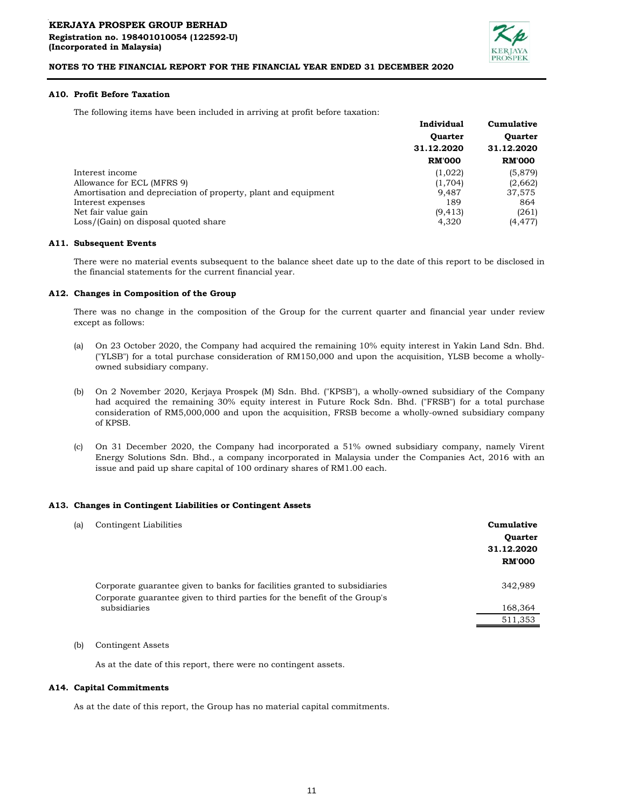

## **A10. Profit Before Taxation**

The following items have been included in arriving at profit before taxation:

|                                                                | Individual     | Cumulative     |
|----------------------------------------------------------------|----------------|----------------|
|                                                                | <b>Quarter</b> | <b>Quarter</b> |
|                                                                | 31.12.2020     | 31.12.2020     |
|                                                                | <b>RM'000</b>  | <b>RM'000</b>  |
| Interest income                                                | (1,022)        | (5,879)        |
| Allowance for ECL (MFRS 9)                                     | (1,704)        | (2,662)        |
| Amortisation and depreciation of property, plant and equipment | 9.487          | 37,575         |
| Interest expenses                                              | 189            | 864            |
| Net fair value gain                                            | (9, 413)       | (261)          |
| Loss/(Gain) on disposal quoted share                           | 4,320          | (4, 477)       |
|                                                                |                |                |

#### **A11. Subsequent Events**

There were no material events subsequent to the balance sheet date up to the date of this report to be disclosed in the financial statements for the current financial year.

#### **A12. Changes in Composition of the Group**

There was no change in the composition of the Group for the current quarter and financial year under review except as follows:

- (a) On 23 October 2020, the Company had acquired the remaining 10% equity interest in Yakin Land Sdn. Bhd. ("YLSB") for a total purchase consideration of RM150,000 and upon the acquisition, YLSB become a whollyowned subsidiary company.
- (b) On 2 November 2020, Kerjaya Prospek (M) Sdn. Bhd. ("KPSB"), a wholly-owned subsidiary of the Company had acquired the remaining 30% equity interest in Future Rock Sdn. Bhd. ("FRSB") for a total purchase consideration of RM5,000,000 and upon the acquisition, FRSB become a wholly-owned subsidiary company of KPSB.
- (c) On 31 December 2020, the Company had incorporated a 51% owned subsidiary company, namely Virent Energy Solutions Sdn. Bhd., a company incorporated in Malaysia under the Companies Act, 2016 with an issue and paid up share capital of 100 ordinary shares of RM1.00 each.

#### **A13. Changes in Contingent Liabilities or Contingent Assets**

| (a) | Contingent Liabilities                                                                    | Cumulative<br><b>Quarter</b><br>31.12.2020<br><b>RM'000</b> |
|-----|-------------------------------------------------------------------------------------------|-------------------------------------------------------------|
|     | Corporate guarantee given to banks for facilities granted to subsidiaries                 | 342,989                                                     |
|     | Corporate guarantee given to third parties for the benefit of the Group's<br>subsidiaries | 168,364                                                     |
|     |                                                                                           | 511,353                                                     |

## (b) Contingent Assets

As at the date of this report, there were no contingent assets.

#### **A14. Capital Commitments**

As at the date of this report, the Group has no material capital commitments.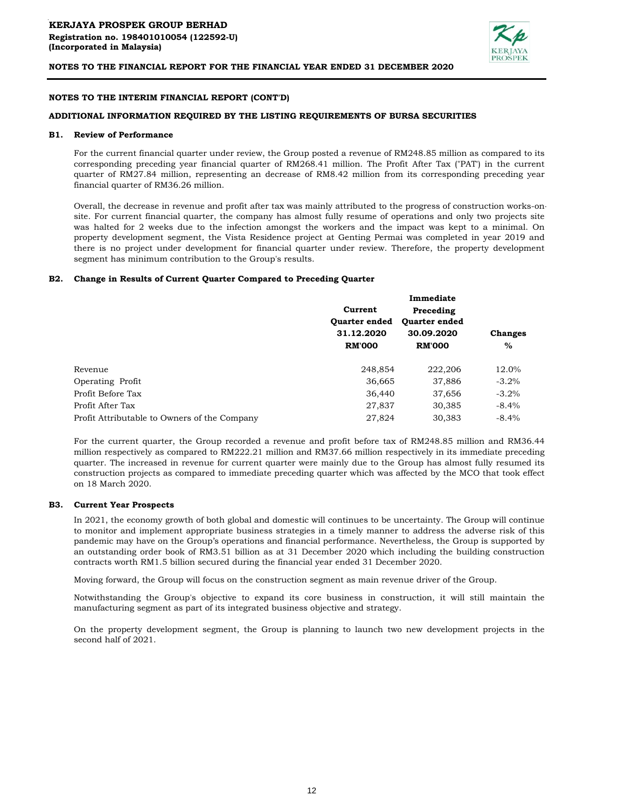

## **NOTES TO THE INTERIM FINANCIAL REPORT (CONT'D)**

## **ADDITIONAL INFORMATION REQUIRED BY THE LISTING REQUIREMENTS OF BURSA SECURITIES**

## **B1. Review of Performance**

For the current financial quarter under review, the Group posted a revenue of RM248.85 million as compared to its corresponding preceding year financial quarter of RM268.41 million. The Profit After Tax ("PAT') in the current quarter of RM27.84 million, representing an decrease of RM8.42 million from its corresponding preceding year financial quarter of RM36.26 million.

Overall, the decrease in revenue and profit after tax was mainly attributed to the progress of construction works-onsite. For current financial quarter, the company has almost fully resume of operations and only two projects site was halted for 2 weeks due to the infection amongst the workers and the impact was kept to a minimal. On property development segment, the Vista Residence project at Genting Permai was completed in year 2019 and there is no project under development for financial quarter under review. Therefore, the property development segment has minimum contribution to the Group's results.

## **B2. Change in Results of Current Quarter Compared to Preceding Quarter**

|                                              |                                               | Immediate            |                |
|----------------------------------------------|-----------------------------------------------|----------------------|----------------|
|                                              | Current<br><b>Ouarter ended</b><br>31.12.2020 | Preceding            |                |
|                                              |                                               | <b>Ouarter ended</b> |                |
|                                              |                                               | 30.09.2020           | <b>Changes</b> |
|                                              | <b>RM'000</b>                                 | <b>RM'000</b>        | $\%$           |
| Revenue                                      | 248,854                                       | 222,206              | 12.0%          |
| Operating Profit                             | 36,665                                        | 37,886               | $-3.2\%$       |
| Profit Before Tax                            | 36,440                                        | 37,656               | $-3.2%$        |
| Profit After Tax                             | 27,837                                        | 30,385               | $-8.4%$        |
| Profit Attributable to Owners of the Company | 27,824                                        | 30.383               | $-8.4%$        |

For the current quarter, the Group recorded a revenue and profit before tax of RM248.85 million and RM36.44 million respectively as compared to RM222.21 million and RM37.66 million respectively in its immediate preceding quarter. The increased in revenue for current quarter were mainly due to the Group has almost fully resumed its construction projects as compared to immediate preceding quarter which was affected by the MCO that took effect on 18 March 2020.

#### **B3. Current Year Prospects**

In 2021, the economy growth of both global and domestic will continues to be uncertainty. The Group will continue to monitor and implement appropriate business strategies in a timely manner to address the adverse risk of this pandemic may have on the Group's operations and financial performance. Nevertheless, the Group is supported by an outstanding order book of RM3.51 billion as at 31 December 2020 which including the building construction contracts worth RM1.5 billion secured during the financial year ended 31 December 2020.

Moving forward, the Group will focus on the construction segment as main revenue driver of the Group.

Notwithstanding the Group's objective to expand its core business in construction, it will still maintain the manufacturing segment as part of its integrated business objective and strategy.

On the property development segment, the Group is planning to launch two new development projects in the second half of 2021.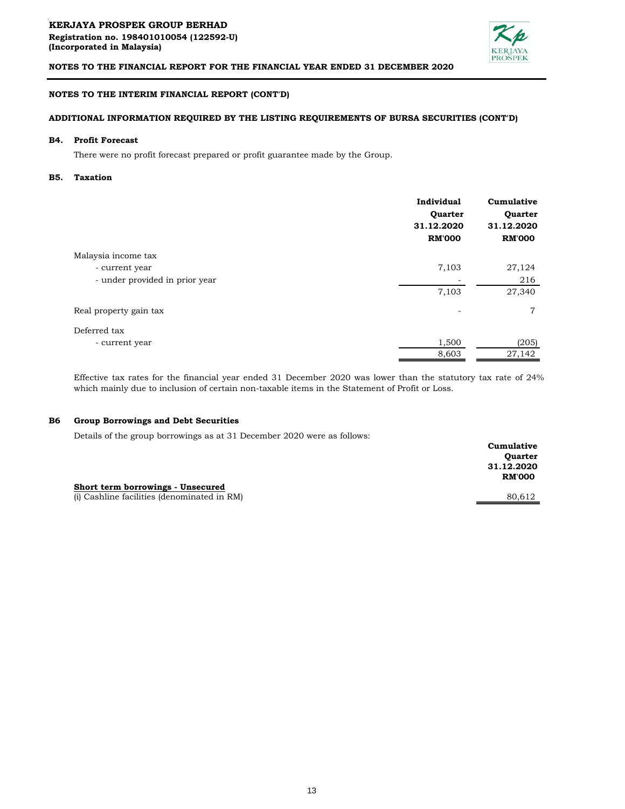

## **NOTES TO THE INTERIM FINANCIAL REPORT (CONT'D)**

## **ADDITIONAL INFORMATION REQUIRED BY THE LISTING REQUIREMENTS OF BURSA SECURITIES (CONT'D)**

#### **B4. Profit Forecast**

There were no profit forecast prepared or profit guarantee made by the Group.

#### **B5. Taxation**

|                                | Individual<br>Quarter<br>31.12.2020<br><b>RM'000</b> | Cumulative<br>Quarter<br>31.12.2020<br><b>RM'000</b> |
|--------------------------------|------------------------------------------------------|------------------------------------------------------|
| Malaysia income tax            |                                                      |                                                      |
| - current year                 | 7,103                                                | 27,124                                               |
| - under provided in prior year |                                                      | 216                                                  |
|                                | 7,103                                                | 27,340                                               |
| Real property gain tax         |                                                      | 7                                                    |
| Deferred tax                   |                                                      |                                                      |
| - current year                 | 1,500                                                | (205)                                                |
|                                | 8,603                                                | 27,142                                               |

Effective tax rates for the financial year ended 31 December 2020 was lower than the statutory tax rate of 24% which mainly due to inclusion of certain non-taxable items in the Statement of Profit or Loss.

#### **B6 Group Borrowings and Debt Securities**

Details of the group borrowings as at 31 December 2020 were as follows:

| beams of the group borrowings as at or becompet gogs were as follows. |                |
|-----------------------------------------------------------------------|----------------|
|                                                                       | Cumulative     |
|                                                                       | <b>Quarter</b> |
|                                                                       | 31.12.2020     |
|                                                                       | <b>RM'000</b>  |
| Short term borrowings - Unsecured                                     |                |
| (i) Cashline facilities (denominated in RM)                           | 80.612         |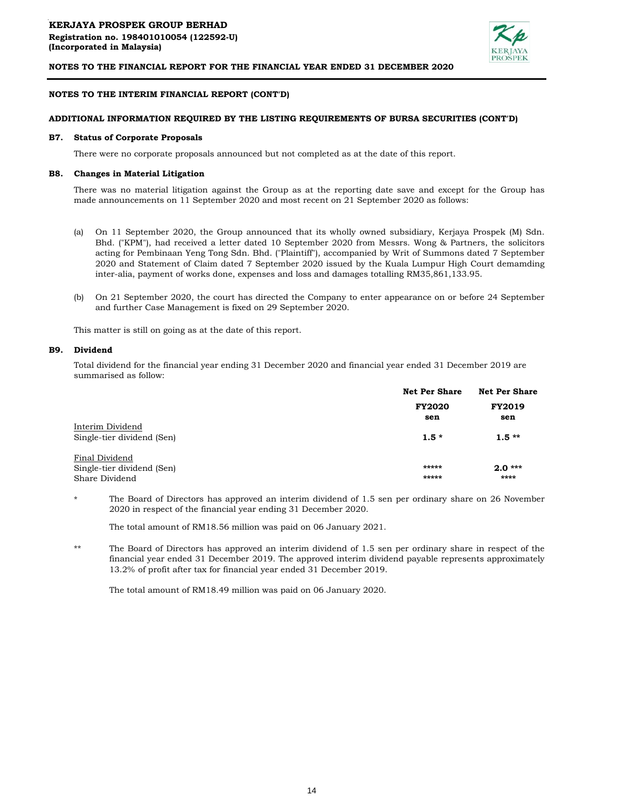

## **NOTES TO THE INTERIM FINANCIAL REPORT (CONT'D)**

## **ADDITIONAL INFORMATION REQUIRED BY THE LISTING REQUIREMENTS OF BURSA SECURITIES (CONT'D)**

#### **B7. Status of Corporate Proposals**

There were no corporate proposals announced but not completed as at the date of this report.

## **B8. Changes in Material Litigation**

There was no material litigation against the Group as at the reporting date save and except for the Group has made announcements on 11 September 2020 and most recent on 21 September 2020 as follows:

- (a) On 11 September 2020, the Group announced that its wholly owned subsidiary, Kerjaya Prospek (M) Sdn. Bhd. ("KPM"), had received a letter dated 10 September 2020 from Messrs. Wong & Partners, the solicitors acting for Pembinaan Yeng Tong Sdn. Bhd. ("Plaintiff"), accompanied by Writ of Summons dated 7 September 2020 and Statement of Claim dated 7 September 2020 issued by the Kuala Lumpur High Court demamding inter-alia, payment of works done, expenses and loss and damages totalling RM35,861,133.95.
- (b) On 21 September 2020, the court has directed the Company to enter appearance on or before 24 September and further Case Management is fixed on 29 September 2020.

This matter is still on going as at the date of this report.

#### **B9. Dividend**

Total dividend for the financial year ending 31 December 2020 and financial year ended 31 December 2019 are summarised as follow:

|                            | <b>Net Per Share</b> | <b>Net Per Share</b><br><b>FY2019</b> |  |
|----------------------------|----------------------|---------------------------------------|--|
|                            | <b>FY2020</b>        |                                       |  |
|                            | sen                  | sen                                   |  |
| Interim Dividend           |                      |                                       |  |
| Single-tier dividend (Sen) | $1.5*$               | $1.5**$                               |  |
| Final Dividend             |                      |                                       |  |
| Single-tier dividend (Sen) | *****                | $2.0***$                              |  |
| Share Dividend             | *****                | ****                                  |  |

\* The Board of Directors has approved an interim dividend of 1.5 sen per ordinary share on 26 November 2020 in respect of the financial year ending 31 December 2020.

The total amount of RM18.56 million was paid on 06 January 2021.

\*\* The Board of Directors has approved an interim dividend of 1.5 sen per ordinary share in respect of the financial year ended 31 December 2019. The approved interim dividend payable represents approximately 13.2% of profit after tax for financial year ended 31 December 2019.

The total amount of RM18.49 million was paid on 06 January 2020.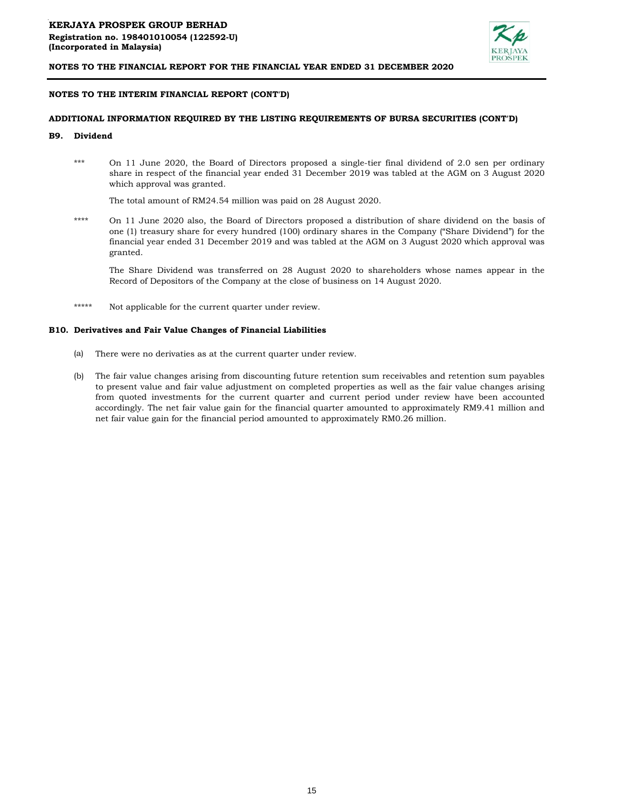

## **NOTES TO THE INTERIM FINANCIAL REPORT (CONT'D)**

## **ADDITIONAL INFORMATION REQUIRED BY THE LISTING REQUIREMENTS OF BURSA SECURITIES (CONT'D)**

#### **B9. Dividend**

\*\*\* On 11 June 2020, the Board of Directors proposed a single-tier final dividend of 2.0 sen per ordinary share in respect of the financial year ended 31 December 2019 was tabled at the AGM on 3 August 2020 which approval was granted.

The total amount of RM24.54 million was paid on 28 August 2020.

\*\*\*\* On 11 June 2020 also, the Board of Directors proposed a distribution of share dividend on the basis of one (1) treasury share for every hundred (100) ordinary shares in the Company ("Share Dividend") for the financial year ended 31 December 2019 and was tabled at the AGM on 3 August 2020 which approval was granted.

The Share Dividend was transferred on 28 August 2020 to shareholders whose names appear in the Record of Depositors of the Company at the close of business on 14 August 2020.

\*\*\*\*\* Not applicable for the current quarter under review.

#### **B10. Derivatives and Fair Value Changes of Financial Liabilities**

- (a) There were no derivaties as at the current quarter under review.
- (b) The fair value changes arising from discounting future retention sum receivables and retention sum payables to present value and fair value adjustment on completed properties as well as the fair value changes arising from quoted investments for the current quarter and current period under review have been accounted accordingly. The net fair value gain for the financial quarter amounted to approximately RM9.41 million and net fair value gain for the financial period amounted to approximately RM0.26 million.